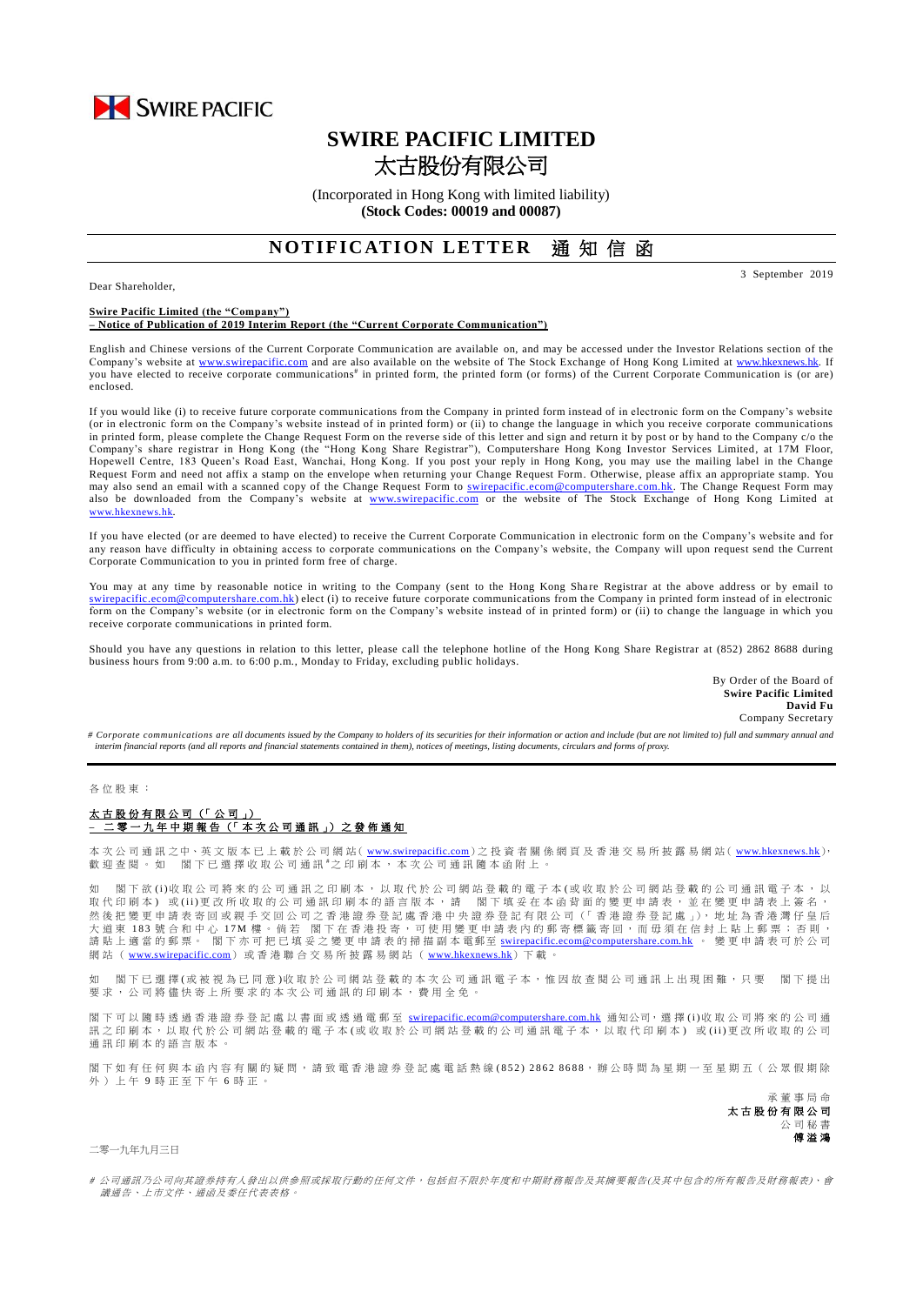

# **SWIRE PACIFIC LIMITED** 太古股份有限公司

(Incorporated in Hong Kong with limited liability) **(Stock Codes: 00019 and 00087)**

# **NOTIFICATION LETTER 通知信函**

Dear Shareholder,

3 September 2019

#### **Swire Pacific Limited (the "Company") – Notice of Publication of 2019 Interim Report (the "Current Corporate Communication")**

English and Chinese versions of the Current Corporate Communication are available on, and may be accessed under the Investor Relations section of the Company's website at [www.swirepacific.com](http://www.swirepacific.com/) and are also available on the website of The Stock Exchange of Hong Kong Limited at [www.hkexnews.hk.](http://www.hkexnews.hk/) If you have elected to receive corporate communications<sup>#</sup> in printed form, the printed form (or forms) of the Current Corporate Communication is (or are) enclosed.

If you would like (i) to receive future corporate communications from the Company in printed form instead of in electronic form on the Company's website (or in electronic form on the Company's website instead of in printed form) or (ii) to change the language in which you receive corporate communications in printed form, please complete the Change Request Form on the reverse side of this letter and sign and return it by post or by hand to the Company c/o the Company's share registrar in Hong Kong (the "Hong Kong Share Registrar"), Computershare Hong Kong Investor Services Limited, at 17M Floor, Hopewell Centre, 183 Queen's Road East, Wanchai, Hong Kong. If you post your reply in Hong Kong, you may use the mailing label in the Change Request Form and need not affix a stamp on the envelope when returning your Change Request Form. Otherwise, please affix an appropriate stamp. You may also send an email with a scanned copy of the Change Request Form to *swirepacific.ecom@computershare.com.hk*. The Change Request Form may also be downloaded from the Company's website at [www.swirepacific.com](http://www.swirepacific.com/) or the website of The Stock Exchange of Hong Kong Limited at [www.hkexnews.hk](http://www.hkexnews.hk/).

If you have elected (or are deemed to have elected) to receive the Current Corporate Communication in electronic form on the Company's website and for any reason have difficulty in obtaining access to corporate communications on the Company's website, the Company will upon request send the Current Corporate Communication to you in printed form free of charge.

You may at any time by reasonable notice in writing to the Company (sent to the Hong Kong Share Registrar at the above address or by email to [swirepacific.ecom@computershare.com.hk\)](mailto:swirepacific.ecom@computershare.com.hk) elect (i) to receive future corporate communications from the Company in printed form instead of in electronic form on the Company's website (or in electronic form on the Company's website instead of in printed form) or (ii) to change the language in which you receive corporate communications in printed form.

Should you have any questions in relation to this letter, please call the telephone hotline of the Hong Kong Share Registrar at (852) 2862 8688 during business hours from 9:00 a.m. to 6:00 p.m., Monday to Friday, excluding public holidays.

> By Order of the Board of **Swire Pacific Limited David Fu** Company Secretary

*# Corporate communications are all documents issued by the Company to holders of its securities for their information or action and include (but are not limited to) full and summary annual and interim financial reports (and all reports and financial statements contained in them), notices of meetings, listing documents, circulars and forms of proxy.*

#### 各 位 股 東 :

## 太古股份有限公司 (「 公 司 」) **–** 二 零 一 九 年 中期報告 (「 本 次 公 司 通 訊 」) 之 發 佈 通 知

本 次 公 司 通 訊 之中、英 文 版 本 已 上 載 於 公 司 網 站( [www.swirepacific.com](http://www.swirepacific.com/)) 之 投 資 者 關 係 網 頁 及 香 港 交 易 所 披 露 易 網 站( [www.hkexnews.hk](http://www.hkexnews.hk/)), 歡 迎 查 閱 。 如 閣 下 已 選 擇 收 取 公 司 通 訊 \*之 印 刷 本 , 本 次 公 司 通 訊 隨 本 函 附 上 。

如 閣 下 欲 (i)收 取 公 司 將 來 的 公 司 诵 訊 之 印 刷 本 , 以 取 代 於 公 司 網 站 登 載 的 雷 子 本 (或 收 取 於 公 司 網 站 登 載 的 公 司 诵 訊 雷 子 本 , 以 取代印刷本)或(ii)更改所收取的公司通訊印刷本的語言版本,請 閣下填妥在本函背面的變更申請表,並在變更申請表上簽名, 然後把變更申請表寄回或親手交回公司之香港證券登記處香港中央證券登記有限公司(「香港證券登記處」),地址為香港灣仔皇后 (本) 183 號合和中心 17M 樓。倘若 閣下在香港投寄,可使用變更申請表內的郵寄標籤寄回,而毋須在信封上貼上郵票;否則, 請 貼 上 適 當 的 郵 票。 閣下亦可把已填妥之變更申請表 的掃描副本 電郵至 [swirepacific.ecom@computershare.com.hk](mailto:swirepacific.ecom@computershare.com.hk) 。 變 更 申請表可於 公 司 網 站 ( [www.swirepacific.com](http://www.swirepacific.com/)) 或香港 聯 合 交 易 所 披 露 易 網 站 ( [www.hkexnews.hk](http://www.hkexnews.hk/))下 載 。

如 閣下已 選擇(或被視為已同意)收取於公司網站登載的本次公司通訊電子本,惟因故查閱公司通訊上出現困難,只要 閣下提出 要求, 公司將儘快寄上所要求的本次公司通訊的印刷本, 費用全免。

閣下可以 隨時 透 過 香 港 證 券 登 記 處 以 書 面 或 透 過 電 郵 至 [swirepacific.ecom@computershare.com.hk](mailto:swirepacific.ecom@computershare.com.hk) 通知公司, 選 擇 (i)收 取 公 司 將 來 的 公 司 通 訊之 印 刷 本, 以 取 代 於 公 司 網 站 登 載 的 電 子 本 ( 或 收 取 於 公 司 網 站 登 載 的 公 司 通 訊 電 子 本, 以 取 代 印 刷 本) 或 (ii)更 改 所 收 取 的 公 司 通訊印刷本的語言版本。

閣下如有任何與本函內容有關的疑問,請致電香港證券登記處電話熱線(852) 2862 8688,辦公時間為星期一至星期五(公眾假期除 外 ) 上 午 9 時 正 至 下 午 6 時正。

> 承董事 局 命 太古股份有限公司 公 司 秘 書 傅溢鴻

### 二零一九年九月三日

# 公司通訊乃公司向其證券持有人發出以供參照或採取行動的任何文件,包括但不限於年度和中期財務報告及其摘要報告(及其中包含的所有報告及財務報表)、會 議通告、上市文件、通函及委任代表表格。